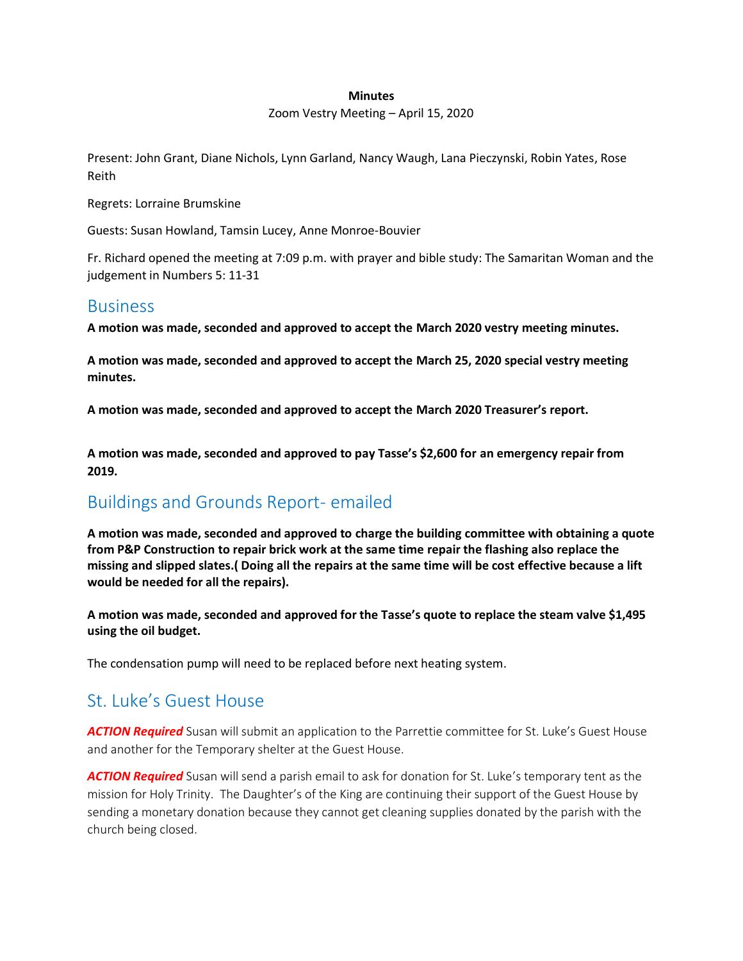#### **Minutes**

#### Zoom Vestry Meeting – April 15, 2020

Present: John Grant, Diane Nichols, Lynn Garland, Nancy Waugh, Lana Pieczynski, Robin Yates, Rose Reith

Regrets: Lorraine Brumskine

Guests: Susan Howland, Tamsin Lucey, Anne Monroe-Bouvier

Fr. Richard opened the meeting at 7:09 p.m. with prayer and bible study: The Samaritan Woman and the judgement in Numbers 5: 11-31

### **Business**

**A motion was made, seconded and approved to accept the March 2020 vestry meeting minutes.**

**A motion was made, seconded and approved to accept the March 25, 2020 special vestry meeting minutes.**

**A motion was made, seconded and approved to accept the March 2020 Treasurer's report.**

**A motion was made, seconded and approved to pay Tasse's \$2,600 for an emergency repair from 2019.**

### Buildings and Grounds Report- emailed

**A motion was made, seconded and approved to charge the building committee with obtaining a quote from P&P Construction to repair brick work at the same time repair the flashing also replace the missing and slipped slates.( Doing all the repairs at the same time will be cost effective because a lift would be needed for all the repairs).**

**A motion was made, seconded and approved for the Tasse's quote to replace the steam valve \$1,495 using the oil budget.**

The condensation pump will need to be replaced before next heating system.

### St. Luke's Guest House

*ACTION Required* Susan will submit an application to the Parrettie committee for St. Luke's Guest House and another for the Temporary shelter at the Guest House.

*ACTION Required* Susan will send a parish email to ask for donation for St. Luke's temporary tent as the mission for Holy Trinity. The Daughter's of the King are continuing their support of the Guest House by sending a monetary donation because they cannot get cleaning supplies donated by the parish with the church being closed.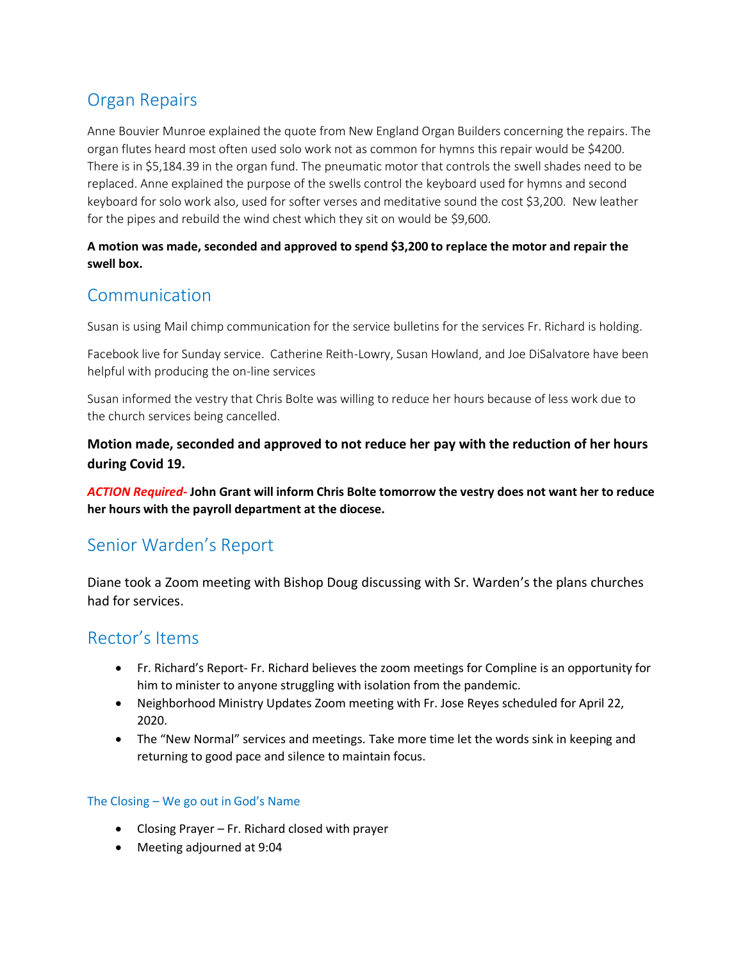## Organ Repairs

Anne Bouvier Munroe explained the quote from New England Organ Builders concerning the repairs. The organ flutes heard most often used solo work not as common for hymns this repair would be \$4200. There is in \$5,184.39 in the organ fund. The pneumatic motor that controls the swell shades need to be replaced. Anne explained the purpose of the swells control the keyboard used for hymns and second keyboard for solo work also, used for softer verses and meditative sound the cost \$3,200. New leather for the pipes and rebuild the wind chest which they sit on would be \$9,600.

#### **A motion was made, seconded and approved to spend \$3,200 to replace the motor and repair the swell box.**

## Communication

Susan is using Mail chimp communication for the service bulletins for the services Fr. Richard is holding.

Facebook live for Sunday service. Catherine Reith-Lowry, Susan Howland, and Joe DiSalvatore have been helpful with producing the on-line services

Susan informed the vestry that Chris Bolte was willing to reduce her hours because of less work due to the church services being cancelled.

**Motion made, seconded and approved to not reduce her pay with the reduction of her hours during Covid 19.** 

*ACTION Required-* **John Grant will inform Chris Bolte tomorrow the vestry does not want her to reduce her hours with the payroll department at the diocese.** 

### Senior Warden's Report

Diane took a Zoom meeting with Bishop Doug discussing with Sr. Warden's the plans churches had for services.

### Rector's Items

- Fr. Richard's Report- Fr. Richard believes the zoom meetings for Compline is an opportunity for him to minister to anyone struggling with isolation from the pandemic.
- Neighborhood Ministry Updates Zoom meeting with Fr. Jose Reyes scheduled for April 22, 2020.
- The "New Normal" services and meetings. Take more time let the words sink in keeping and returning to good pace and silence to maintain focus.

### The Closing – We go out in God's Name

- Closing Prayer Fr. Richard closed with prayer
- Meeting adjourned at 9:04